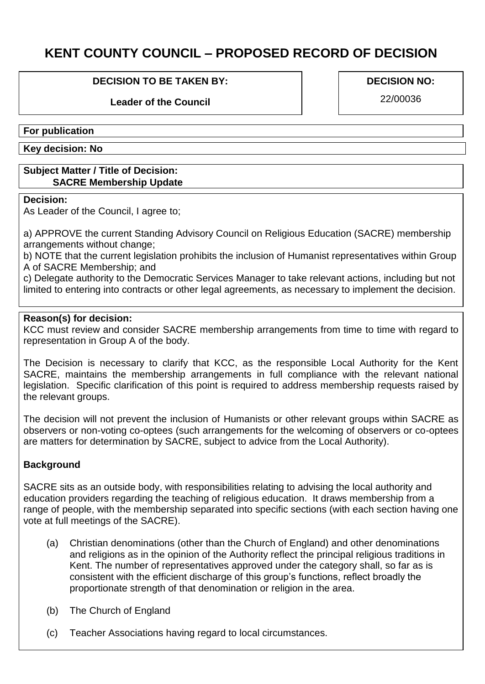# **KENT COUNTY COUNCIL – PROPOSED RECORD OF DECISION**

#### **DECISION TO BE TAKEN BY:**

## **Leader of the Council**

#### **DECISION NO:**

22/00036

#### **For publication**

**Key decision: No**

#### **Subject Matter / Title of Decision: SACRE Membership Update**

#### **Decision:**

As Leader of the Council, I agree to;

a) APPROVE the current Standing Advisory Council on Religious Education (SACRE) membership arrangements without change;

b) NOTE that the current legislation prohibits the inclusion of Humanist representatives within Group A of SACRE Membership; and

c) Delegate authority to the Democratic Services Manager to take relevant actions, including but not limited to entering into contracts or other legal agreements, as necessary to implement the decision.

### **Reason(s) for decision:**

KCC must review and consider SACRE membership arrangements from time to time with regard to representation in Group A of the body.

The Decision is necessary to clarify that KCC, as the responsible Local Authority for the Kent SACRE, maintains the membership arrangements in full compliance with the relevant national legislation. Specific clarification of this point is required to address membership requests raised by the relevant groups.

The decision will not prevent the inclusion of Humanists or other relevant groups within SACRE as observers or non-voting co-optees (such arrangements for the welcoming of observers or co-optees are matters for determination by SACRE, subject to advice from the Local Authority).

### **Background**

SACRE sits as an outside body, with responsibilities relating to advising the local authority and education providers regarding the teaching of religious education. It draws membership from a range of people, with the membership separated into specific sections (with each section having one vote at full meetings of the SACRE).

- (a) Christian denominations (other than the Church of England) and other denominations and religions as in the opinion of the Authority reflect the principal religious traditions in Kent. The number of representatives approved under the category shall, so far as is consistent with the efficient discharge of this group's functions, reflect broadly the proportionate strength of that denomination or religion in the area.
- (b) The Church of England
- (c) Teacher Associations having regard to local circumstances.